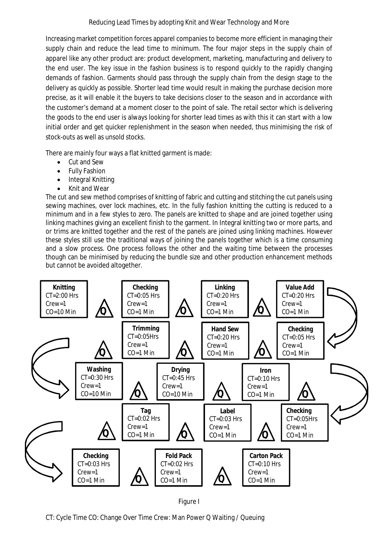Increasing market competition forces apparel companies to become more efficient in managing their supply chain and reduce the lead time to minimum. The four major steps in the supply chain of apparel like any other product are: product development, marketing, manufacturing and delivery to the end user. The key issue in the fashion business is to respond quickly to the rapidly changing demands of fashion. Garments should pass through the supply chain from the design stage to the delivery as quickly as possible. Shorter lead time would result in making the purchase decision more precise, as it will enable it the buyers to take decisions closer to the season and in accordance with the customer's demand at a moment closer to the point of sale. The retail sector which is delivering the goods to the end user is always looking for shorter lead times as with this it can start with a low initial order and get quicker replenishment in the season when needed, thus minimising the risk of stock-outs as well as unsold stocks.

There are mainly four ways a flat knitted garment is made:

- Cut and Sew
- Fully Fashion
- Integral Knitting
- Knit and Wear

The cut and sew method comprises of knitting of fabric and cutting and stitching the cut panels using sewing machines, over lock machines, etc. In the fully fashion knitting the cutting is reduced to a minimum and in a few styles to zero. The panels are knitted to shape and are joined together using linking machines giving an excellent finish to the garment. In Integral knitting two or more parts, and or trims are knitted together and the rest of the panels are joined using linking machines. However these styles still use the traditional ways of joining the panels together which is a time consuming and a slow process. One process follows the other and the waiting time between the processes though can be minimised by reducing the bundle size and other production enhancement methods but cannot be avoided altogether.



Figure I

CT: Cycle Time CO: Change Over Time Crew: Man Power Q Waiting / Queuing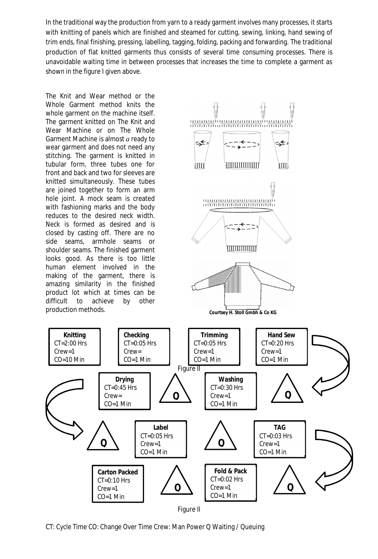In the traditional way the production from yarn to a ready garment involves many processes, it starts with knitting of panels which are finished and steamed for cutting, sewing, linking, hand sewing of trim ends, final finishing, pressing, labelling, tagging, folding, packing and forwarding. The traditional production of flat knitted garments thus consists of several time consuming processes. There is unavoidable waiting time in between processes that increases the time to complete a garment as shown in the figure I given above.

The Knit and Wear method or the Whole Garment method knits the whole garment on the machine itself. The garment knitted on The Knit and Wear Machine or on The Whole Garment Machine is almost *a* ready to wear garment and does not need any stitching. The garment is knitted in tubular form, three tubes one for front and back and two for sleeves are knitted simultaneously. These tubes are joined together to form an arm hole joint. A mock seam is created with fashioning marks and the body reduces to the desired neck width. Neck is formed as desired and is closed by casting off. There are no side seams, armhole seams or shoulder seams. The finished garment looks good. As there is too little human element involved in the making of the garment, there is amazing similarity in the finished product lot which at times can be difficult to achieve by other

**Knitting** CT=2:00 Hrs Crew=1 CO=10 Min



**Checking**

Crew= CO=1 Min

**Drying** CT=0:45 Hrs Crew= CO=1 Min

**Q**

**Carton Packed**  $CT=0:10$  Hrs Crew=1 CO=1 Min

Figure II

CO=1 Min